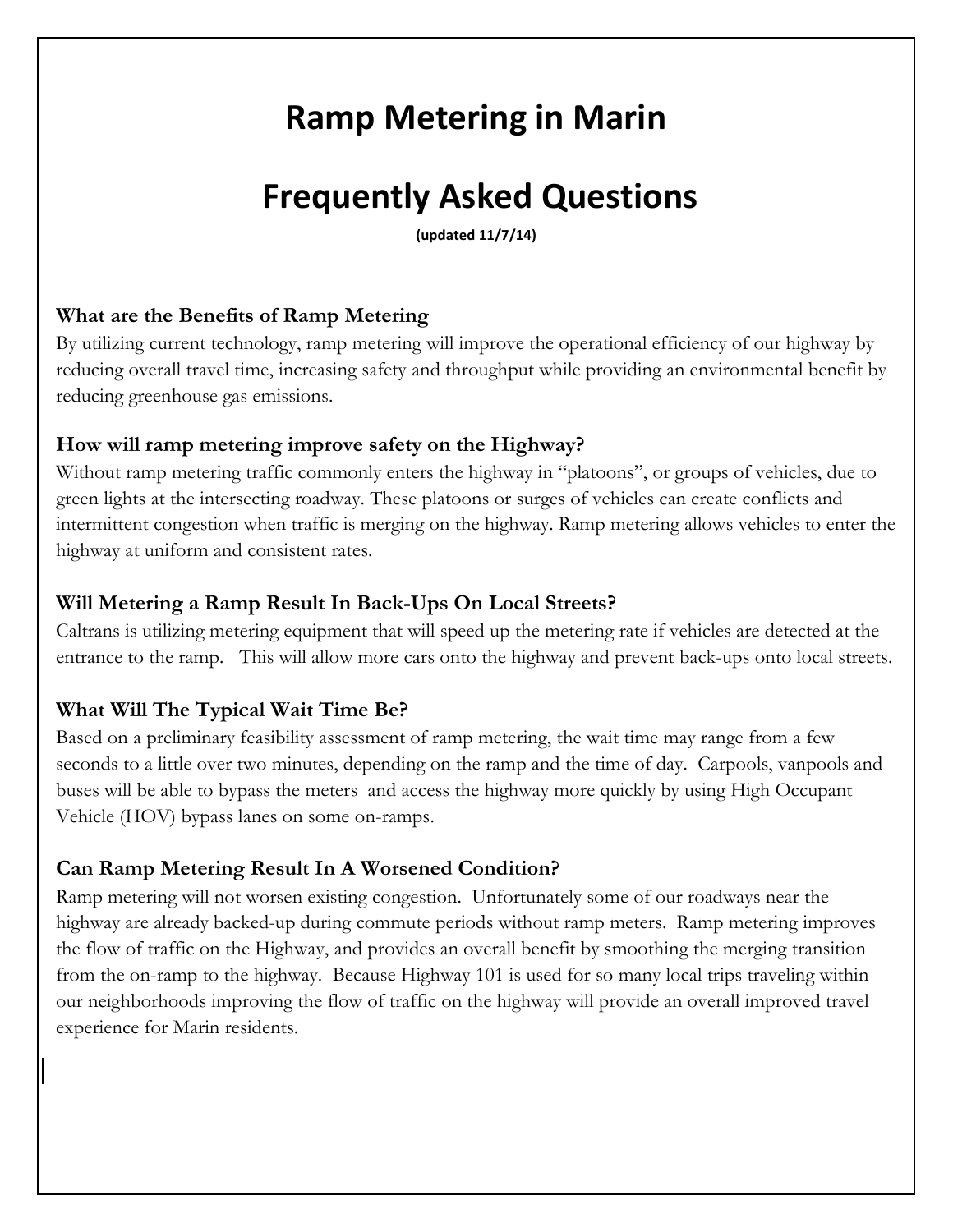# **Ramp Metering in Marin**

# **Frequently Asked Questions**

**(updated 11/7/14)**

## **What are the Benefits of Ramp Metering**

By utilizing current technology, ramp metering will improve the operational efficiency of our highway by reducing overall travel time, increasing safety and throughput while providing an environmental benefit by reducing greenhouse gas emissions.

#### **How will ramp metering improve safety on the Highway?**

Without ramp metering traffic commonly enters the highway in "platoons", or groups of vehicles, due to green lights at the intersecting roadway. These platoons or surges of vehicles can create conflicts and intermittent congestion when traffic is merging on the highway. Ramp metering allows vehicles to enter the highway at uniform and consistent rates.

### **Will Metering a Ramp Result In Back-Ups On Local Streets?**

Caltrans is utilizing metering equipment that will speed up the metering rate if vehicles are detected at the entrance to the ramp. This will allow more cars onto the highway and prevent back-ups onto local streets.

### **What Will The Typical Wait Time Be?**

Based on a preliminary feasibility assessment of ramp metering, the wait time may range from a few seconds to a little over two minutes, depending on the ramp and the time of day. Carpools, vanpools and buses will be able to bypass the meters and access the highway more quickly by using High Occupant Vehicle (HOV) bypass lanes on some on-ramps.

### **Can Ramp Metering Result In A Worsened Condition?**

Ramp metering will not worsen existing congestion. Unfortunately some of our roadways near the highway are already backed-up during commute periods without ramp meters. Ramp metering improves the flow of traffic on the Highway, and provides an overall benefit by smoothing the merging transition from the on-ramp to the highway. Because Highway 101 is used for so many local trips traveling within our neighborhoods improving the flow of traffic on the highway will provide an overall improved travel experience for Marin residents.